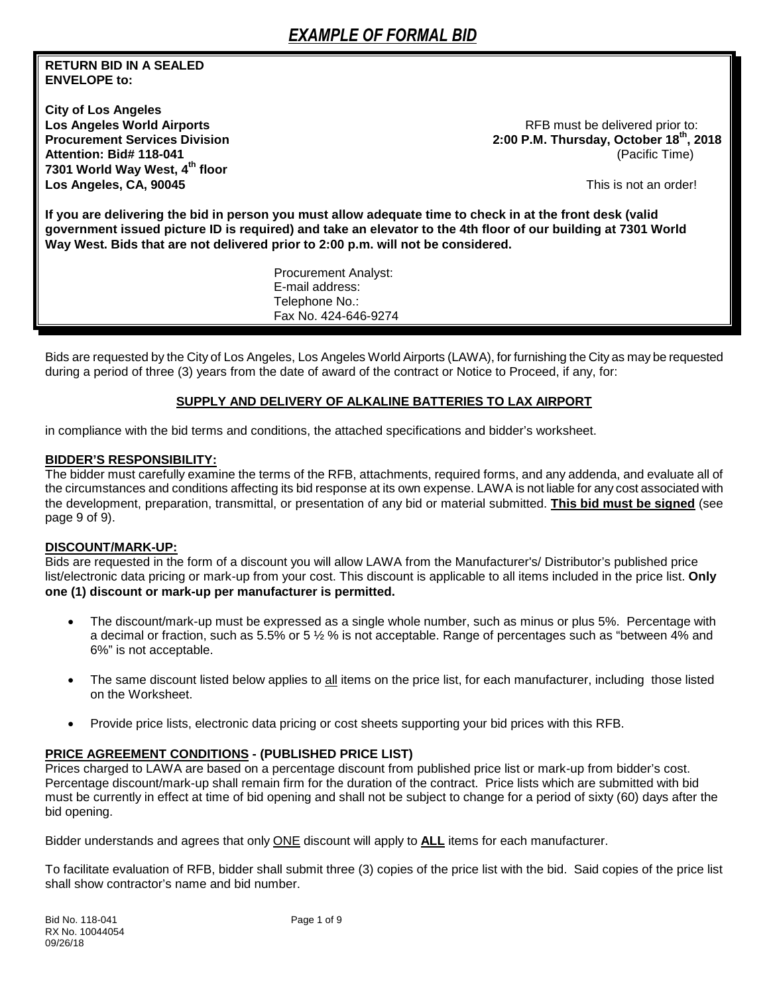## **RETURN BID IN A SEALED ENVELOPE to:**

**City of Los Angeles 7301 World Way West, 4th floor Los Angeles, CA, 90045** This is not an order!

RFB must be delivered prior to: **Procurement Services Division 2:00 P.M. Thursday, October 18th, 2018 Attention: Bid# 118-041** (Pacific Time)

**If you are delivering the bid in person you must allow adequate time to check in at the front desk (valid government issued picture ID is required) and take an elevator to the 4th floor of our building at 7301 World Way West. Bids that are not delivered prior to 2:00 p.m. will not be considered.**

> Procurement An[alyst:](mailto:chemsley@lawa.org)  E-mail address: Telephone No.: Fax No. 424-646-9274

Bids are requested by the City of Los Angeles, Los Angeles World Airports (LAWA), for furnishing the City as may be requested during a period of three (3) years from the date of award of the contract or Notice to Proceed, if any, for:

#### **SUPPLY AND DELIVERY OF ALKALINE BATTERIES TO LAX AIRPORT**

in compliance with the bid terms and conditions, the attached specifications and bidder's worksheet.

#### **BIDDER'S RESPONSIBILITY:**

The bidder must carefully examine the terms of the RFB, attachments, required forms, and any addenda, and evaluate all of the circumstances and conditions affecting its bid response at its own expense. LAWA is not liable for any cost associated with the development, preparation, transmittal, or presentation of any bid or material submitted. **This bid must be signed** (see page 9 of 9).

#### **DISCOUNT/MARK-UP:**

Bids are requested in the form of a discount you will allow LAWA from the Manufacturer's/ Distributor's published price list/electronic data pricing or mark-up from your cost. This discount is applicable to all items included in the price list. **Only one (1) discount or mark-up per manufacturer is permitted.**

- The discount/mark-up must be expressed as a single whole number, such as minus or plus 5%. Percentage with a decimal or fraction, such as 5.5% or 5 ½ % is not acceptable. Range of percentages such as "between 4% and 6%" is not acceptable.
- The same discount listed below applies to all items on the price list, for each manufacturer, including those listed on the Worksheet.
- Provide price lists, electronic data pricing or cost sheets supporting your bid prices with this RFB.

## **PRICE AGREEMENT CONDITIONS - (PUBLISHED PRICE LIST)**

Prices charged to LAWA are based on a percentage discount from published price list or mark-up from bidder's cost. Percentage discount/mark-up shall remain firm for the duration of the contract. Price lists which are submitted with bid must be currently in effect at time of bid opening and shall not be subject to change for a period of sixty (60) days after the bid opening.

Bidder understands and agrees that only ONE discount will apply to **ALL** items for each manufacturer.

To facilitate evaluation of RFB, bidder shall submit three (3) copies of the price list with the bid. Said copies of the price list shall show contractor's name and bid number.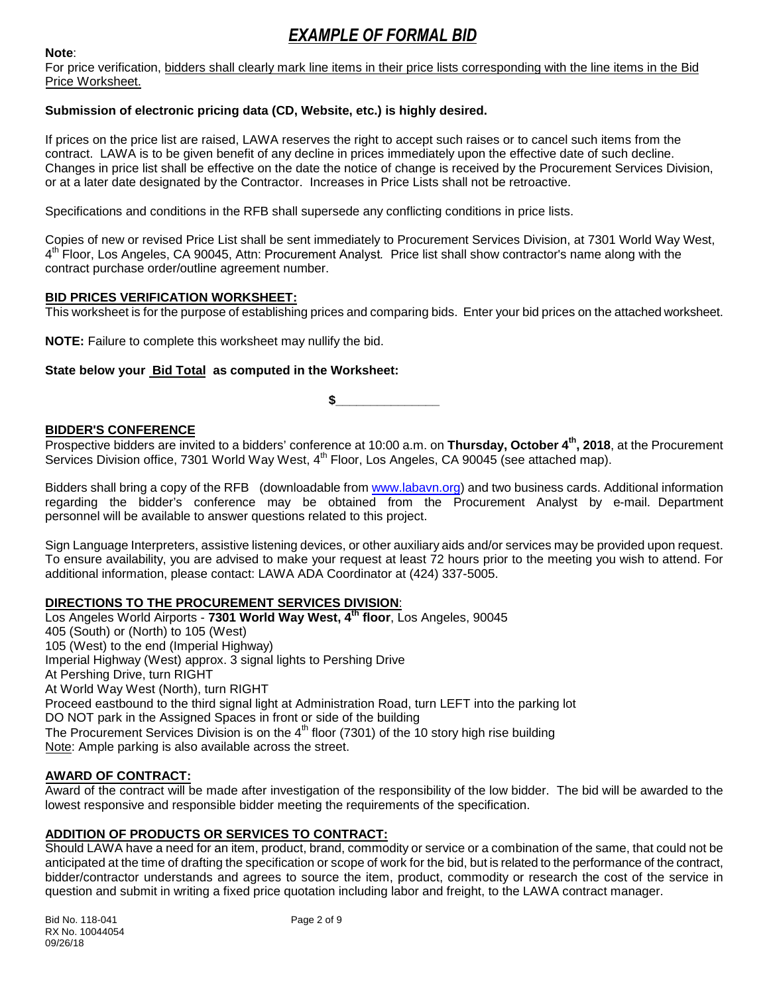#### **Note**:

For price verification, bidders shall clearly mark line items in their price lists corresponding with the line items in the Bid Price Worksheet.

## **Submission of electronic pricing data (CD, Website, etc.) is highly desired.**

If prices on the price list are raised, LAWA reserves the right to accept such raises or to cancel such items from the contract. LAWA is to be given benefit of any decline in prices immediately upon the effective date of such decline. Changes in price list shall be effective on the date the notice of change is received by the Procurement Services Division, or at a later date designated by the Contractor. Increases in Price Lists shall not be retroactive.

Specifications and conditions in the RFB shall supersede any conflicting conditions in price lists.

Copies of new or revised Price List shall be sent immediately to Procurement Services Division, at 7301 World Way West, 4 th Floor, Los Angeles, CA 90045, Attn: Procurement Analyst*.* Price list shall show contractor's name along with the contract purchase order/outline agreement number.

## **BID PRICES VERIFICATION WORKSHEET:**

This worksheet is for the purpose of establishing prices and comparing bids. Enter your bid prices on the attached worksheet.

**NOTE:** Failure to complete this worksheet may nullify the bid.

## **State below your Bid Total as computed in the Worksheet:**

**\$\_\_\_\_\_\_\_\_\_\_\_\_\_\_\_**

## **BIDDER'S CONFERENCE**

Prospective bidders are invited to a bidders' conference at 10:00 a.m. on **Thursday, October 4th , 2018**, at the Procurement Services Division office, 7301 World Way West, 4<sup>th</sup> Floor, Los Angeles, CA 90045 (see attached map).

Bidders shall bring a copy of the RFB (downloadable from [www.labavn.org\)](http://www.labavn.org/) and two business cards. Additional information regarding the bidder's conference may be obtained from the Procurement Analyst by e-mail. Department personnel will be available to answer questions related to this project.

Sign Language Interpreters, assistive listening devices, or other auxiliary aids and/or services may be provided upon request. To ensure availability, you are advised to make your request at least 72 hours prior to the meeting you wish to attend. For additional information, please contact: LAWA ADA Coordinator at (424) 337-5005.

## **DIRECTIONS TO THE PROCUREMENT SERVICES DIVISION**:

Los Angeles World Airports - **7301 World Way West, 4th floor**, Los Angeles, 90045 405 (South) or (North) to 105 (West) 105 (West) to the end (Imperial Highway) Imperial Highway (West) approx. 3 signal lights to Pershing Drive At Pershing Drive, turn RIGHT At World Way West (North), turn RIGHT Proceed eastbound to the third signal light at Administration Road, turn LEFT into the parking lot DO NOT park in the Assigned Spaces in front or side of the building The Procurement Services Division is on the  $4<sup>th</sup>$  floor (7301) of the 10 story high rise building Note: Ample parking is also available across the street.

## **AWARD OF CONTRACT:**

Award of the contract will be made after investigation of the responsibility of the low bidder. The bid will be awarded to the lowest responsive and responsible bidder meeting the requirements of the specification.

## **ADDITION OF PRODUCTS OR SERVICES TO CONTRACT:**

Should LAWA have a need for an item, product, brand, commodity or service or a combination of the same, that could not be anticipated at the time of drafting the specification or scope of work for the bid, but is related to the performance of the contract, bidder/contractor understands and agrees to source the item, product, commodity or research the cost of the service in question and submit in writing a fixed price quotation including labor and freight, to the LAWA contract manager.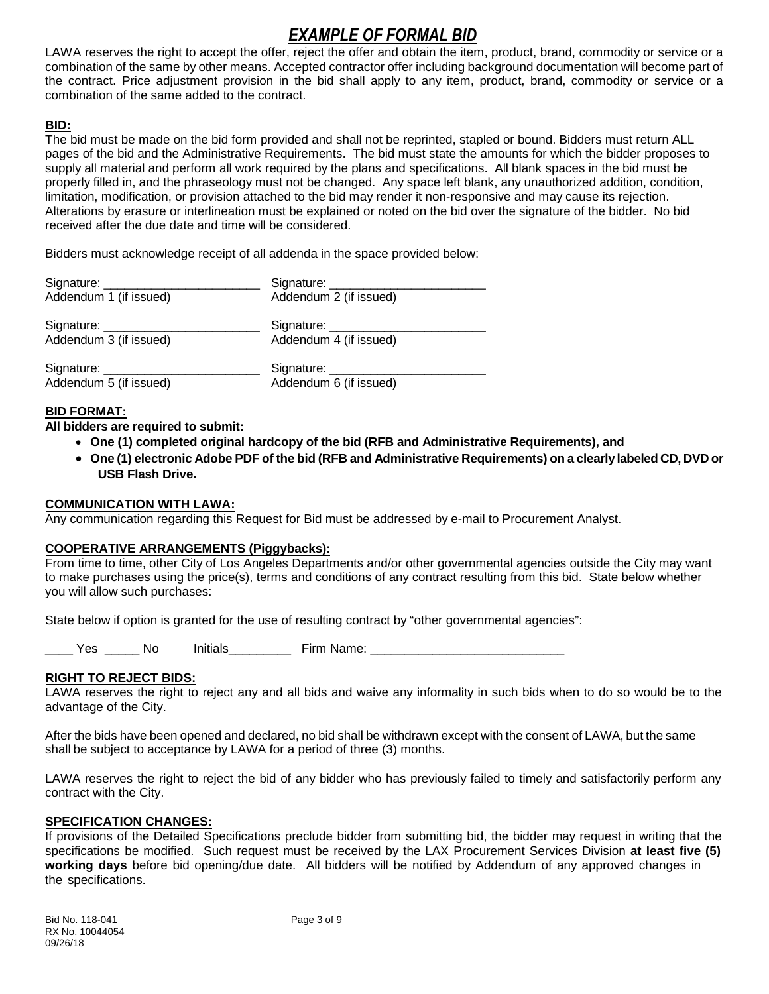LAWA reserves the right to accept the offer, reject the offer and obtain the item, product, brand, commodity or service or a combination of the same by other means. Accepted contractor offer including background documentation will become part of the contract. Price adjustment provision in the bid shall apply to any item, product, brand, commodity or service or a combination of the same added to the contract.

## **BID:**

The bid must be made on the bid form provided and shall not be reprinted, stapled or bound. Bidders must return ALL pages of the bid and the Administrative Requirements. The bid must state the amounts for which the bidder proposes to supply all material and perform all work required by the plans and specifications. All blank spaces in the bid must be properly filled in, and the phraseology must not be changed. Any space left blank, any unauthorized addition, condition, limitation, modification, or provision attached to the bid may render it non-responsive and may cause its rejection. Alterations by erasure or interlineation must be explained or noted on the bid over the signature of the bidder. No bid received after the due date and time will be considered.

Bidders must acknowledge receipt of all addenda in the space provided below:

| Addendum 1 (if issued)      | Addendum 2 (if issued)             |
|-----------------------------|------------------------------------|
|                             |                                    |
| Addendum 3 (if issued)      | Addendum 4 (if issued)             |
| Signature: ________________ | Signature: _______________________ |
| Addendum 5 (if issued)      | Addendum 6 (if issued)             |

## **BID FORMAT:**

**All bidders are required to submit:**

- **One (1) completed original hardcopy of the bid (RFB and Administrative Requirements), and**
- **One (1) electronic Adobe PDF of the bid (RFB and Administrative Requirements) on a clearly labeled CD, DVD or USB Flash Drive.**

## **COMMUNICATION WITH LAWA:**

Any communication regarding this Request for Bid must be addressed by e-mail to Procurement Analyst.

## **COOPERATIVE ARRANGEMENTS (Piggybacks):**

From time to time, other City of Los Angeles Departments and/or other governmental agencies outside the City may want to make purchases using the price(s), terms and conditions of any contract resulting from this bid. State below whether you will allow such purchases:

State below if option is granted for the use of resulting contract by "other governmental agencies":

Yes No Initials Firm Name:

## **RIGHT TO REJECT BIDS:**

LAWA reserves the right to reject any and all bids and waive any informality in such bids when to do so would be to the advantage of the City.

After the bids have been opened and declared, no bid shall be withdrawn except with the consent of LAWA, but the same shall be subject to acceptance by LAWA for a period of three (3) months.

LAWA reserves the right to reject the bid of any bidder who has previously failed to timely and satisfactorily perform any contract with the City.

## **SPECIFICATION CHANGES:**

If provisions of the Detailed Specifications preclude bidder from submitting bid, the bidder may request in writing that the specifications be modified. Such request must be received by the LAX Procurement Services Division **at least five (5) working days** before bid opening/due date. All bidders will be notified by Addendum of any approved changes in the specifications.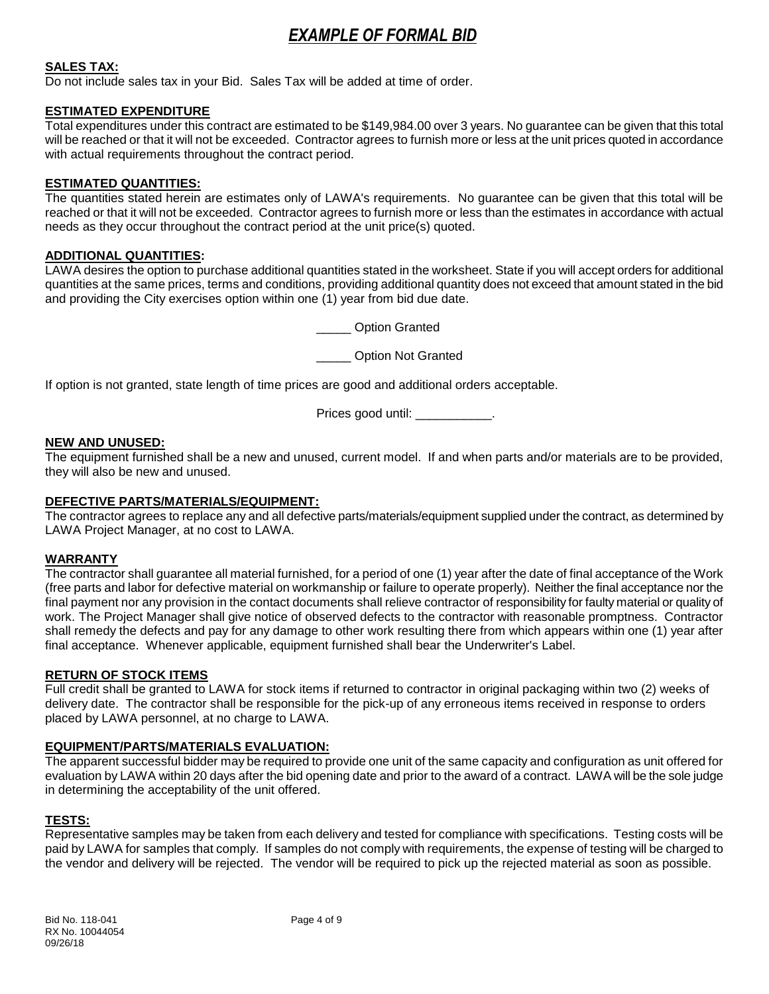## **SALES TAX:**

Do not include sales tax in your Bid. Sales Tax will be added at time of order.

#### **ESTIMATED EXPENDITURE**

Total expenditures under this contract are estimated to be \$149,984.00 over 3 years. No guarantee can be given that this total will be reached or that it will not be exceeded. Contractor agrees to furnish more or less at the unit prices quoted in accordance with actual requirements throughout the contract period.

#### **ESTIMATED QUANTITIES:**

The quantities stated herein are estimates only of LAWA's requirements. No guarantee can be given that this total will be reached or that it will not be exceeded. Contractor agrees to furnish more or less than the estimates in accordance with actual needs as they occur throughout the contract period at the unit price(s) quoted.

#### **ADDITIONAL QUANTITIES:**

LAWA desires the option to purchase additional quantities stated in the worksheet. State if you will accept orders for additional quantities at the same prices, terms and conditions, providing additional quantity does not exceed that amount stated in the bid and providing the City exercises option within one (1) year from bid due date.

\_\_\_\_\_ Option Granted

\_\_\_\_\_ Option Not Granted

If option is not granted, state length of time prices are good and additional orders acceptable.

Prices good until: \_\_\_\_\_\_\_\_\_\_\_.

#### **NEW AND UNUSED:**

The equipment furnished shall be a new and unused, current model. If and when parts and/or materials are to be provided, they will also be new and unused.

#### **DEFECTIVE PARTS/MATERIALS/EQUIPMENT:**

The contractor agrees to replace any and all defective parts/materials/equipment supplied under the contract, as determined by LAWA Project Manager, at no cost to LAWA.

## **WARRANTY**

The contractor shall guarantee all material furnished, for a period of one (1) year after the date of final acceptance of the Work (free parts and labor for defective material on workmanship or failure to operate properly). Neither the final acceptance nor the final payment nor any provision in the contact documents shall relieve contractor of responsibility for faulty material or quality of work. The Project Manager shall give notice of observed defects to the contractor with reasonable promptness. Contractor shall remedy the defects and pay for any damage to other work resulting there from which appears within one (1) year after final acceptance. Whenever applicable, equipment furnished shall bear the Underwriter's Label.

#### **RETURN OF STOCK ITEMS**

Full credit shall be granted to LAWA for stock items if returned to contractor in original packaging within two (2) weeks of delivery date. The contractor shall be responsible for the pick-up of any erroneous items received in response to orders placed by LAWA personnel, at no charge to LAWA.

## **EQUIPMENT/PARTS/MATERIALS EVALUATION:**

The apparent successful bidder may be required to provide one unit of the same capacity and configuration as unit offered for evaluation by LAWA within 20 days after the bid opening date and prior to the award of a contract. LAWA will be the sole judge in determining the acceptability of the unit offered.

#### **TESTS:**

Representative samples may be taken from each delivery and tested for compliance with specifications. Testing costs will be paid by LAWA for samples that comply. If samples do not comply with requirements, the expense of testing will be charged to the vendor and delivery will be rejected. The vendor will be required to pick up the rejected material as soon as possible.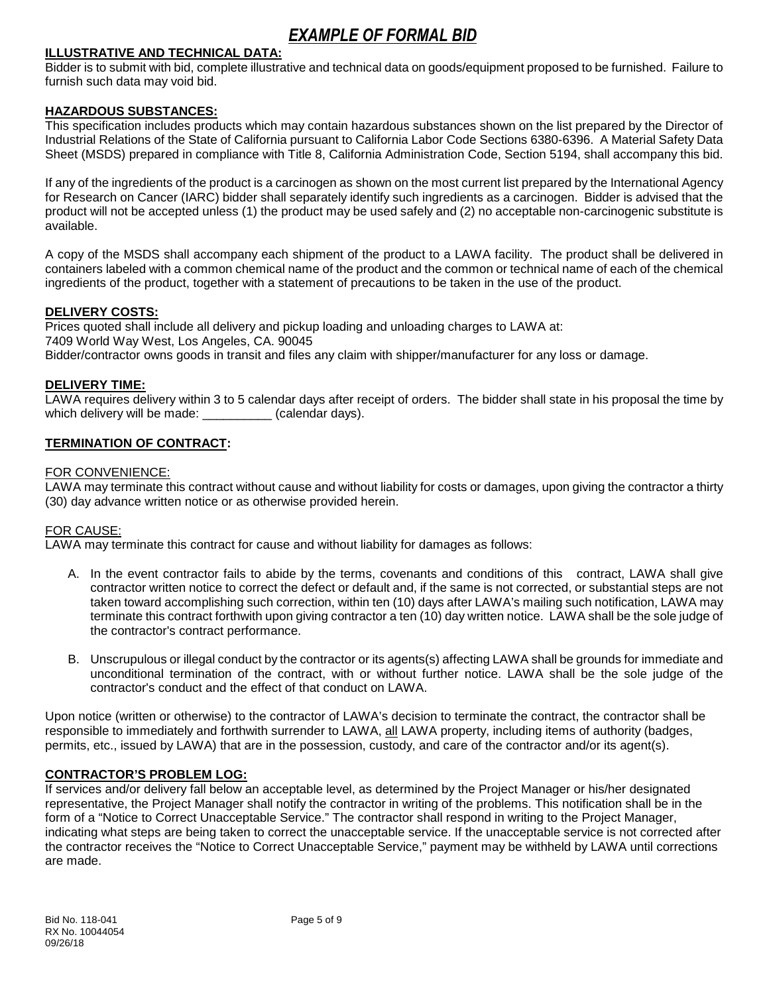#### **ILLUSTRATIVE AND TECHNICAL DATA:**

Bidder is to submit with bid, complete illustrative and technical data on goods/equipment proposed to be furnished. Failure to furnish such data may void bid.

#### **HAZARDOUS SUBSTANCES:**

This specification includes products which may contain hazardous substances shown on the list prepared by the Director of Industrial Relations of the State of California pursuant to California Labor Code Sections 6380-6396. A Material Safety Data Sheet (MSDS) prepared in compliance with Title 8, California Administration Code, Section 5194, shall accompany this bid.

If any of the ingredients of the product is a carcinogen as shown on the most current list prepared by the International Agency for Research on Cancer (IARC) bidder shall separately identify such ingredients as a carcinogen. Bidder is advised that the product will not be accepted unless (1) the product may be used safely and (2) no acceptable non-carcinogenic substitute is available.

A copy of the MSDS shall accompany each shipment of the product to a LAWA facility. The product shall be delivered in containers labeled with a common chemical name of the product and the common or technical name of each of the chemical ingredients of the product, together with a statement of precautions to be taken in the use of the product.

#### **DELIVERY COSTS:**

Prices quoted shall include all delivery and pickup loading and unloading charges to LAWA at: 7409 World Way West, Los Angeles, CA. 90045 Bidder/contractor owns goods in transit and files any claim with shipper/manufacturer for any loss or damage.

#### **DELIVERY TIME:**

LAWA requires delivery within 3 to 5 calendar days after receipt of orders. The bidder shall state in his proposal the time by which delivery will be made:  $\qquad \qquad$  (calendar days).

#### **TERMINATION OF CONTRACT:**

#### FOR CONVENIENCE:

LAWA may terminate this contract without cause and without liability for costs or damages, upon giving the contractor a thirty (30) day advance written notice or as otherwise provided herein.

#### FOR CAUSE:

LAWA may terminate this contract for cause and without liability for damages as follows:

- A. In the event contractor fails to abide by the terms, covenants and conditions of this contract, LAWA shall give contractor written notice to correct the defect or default and, if the same is not corrected, or substantial steps are not taken toward accomplishing such correction, within ten (10) days after LAWA's mailing such notification, LAWA may terminate this contract forthwith upon giving contractor a ten (10) day written notice. LAWA shall be the sole judge of the contractor's contract performance.
- B. Unscrupulous or illegal conduct by the contractor or its agents(s) affecting LAWA shall be grounds for immediate and unconditional termination of the contract, with or without further notice. LAWA shall be the sole judge of the contractor's conduct and the effect of that conduct on LAWA.

Upon notice (written or otherwise) to the contractor of LAWA's decision to terminate the contract, the contractor shall be responsible to immediately and forthwith surrender to LAWA, all LAWA property, including items of authority (badges, permits, etc., issued by LAWA) that are in the possession, custody, and care of the contractor and/or its agent(s).

#### **CONTRACTOR'S PROBLEM LOG:**

If services and/or delivery fall below an acceptable level, as determined by the Project Manager or his/her designated representative, the Project Manager shall notify the contractor in writing of the problems. This notification shall be in the form of a "Notice to Correct Unacceptable Service." The contractor shall respond in writing to the Project Manager, indicating what steps are being taken to correct the unacceptable service. If the unacceptable service is not corrected after the contractor receives the "Notice to Correct Unacceptable Service," payment may be withheld by LAWA until corrections are made.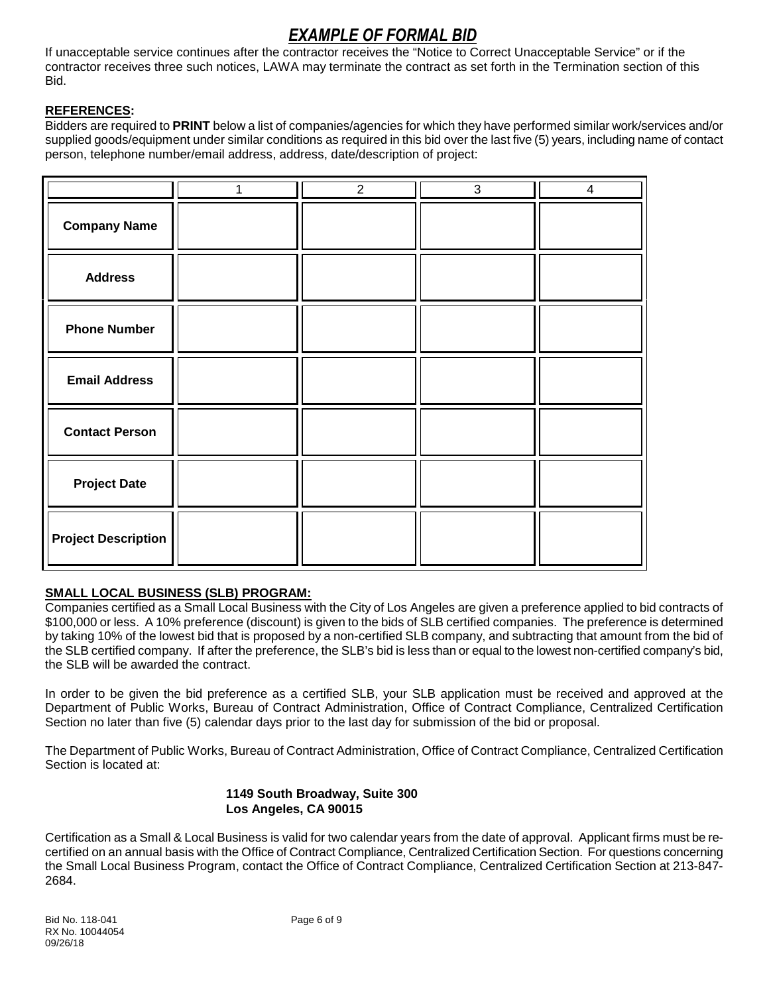If unacceptable service continues after the contractor receives the "Notice to Correct Unacceptable Service" or if the contractor receives three such notices, LAWA may terminate the contract as set forth in the Termination section of this Bid.

## **REFERENCES:**

Bidders are required to **PRINT** below a list of companies/agencies for which they have performed similar work/services and/or supplied goods/equipment under similar conditions as required in this bid over the last five (5) years, including name of contact person, telephone number/email address, address, date/description of project:

|                            | $\overline{2}$ | 3 | 4 |
|----------------------------|----------------|---|---|
| <b>Company Name</b>        |                |   |   |
| <b>Address</b>             |                |   |   |
| <b>Phone Number</b>        |                |   |   |
| <b>Email Address</b>       |                |   |   |
| <b>Contact Person</b>      |                |   |   |
| <b>Project Date</b>        |                |   |   |
| <b>Project Description</b> |                |   |   |

## **SMALL LOCAL BUSINESS (SLB) PROGRAM:**

Companies certified as a Small Local Business with the City of Los Angeles are given a preference applied to bid contracts of \$100,000 or less. A 10% preference (discount) is given to the bids of SLB certified companies. The preference is determined by taking 10% of the lowest bid that is proposed by a non-certified SLB company, and subtracting that amount from the bid of the SLB certified company. If after the preference, the SLB's bid is less than or equal to the lowest non-certified company's bid, the SLB will be awarded the contract.

In order to be given the bid preference as a certified SLB, your SLB application must be received and approved at the Department of Public Works, Bureau of Contract Administration, Office of Contract Compliance, Centralized Certification Section no later than five (5) calendar days prior to the last day for submission of the bid or proposal.

The Department of Public Works, Bureau of Contract Administration, Office of Contract Compliance, Centralized Certification Section is located at:

## **1149 South Broadway, Suite 300 Los Angeles, CA 90015**

Certification as a Small & Local Business is valid for two calendar years from the date of approval. Applicant firms must be recertified on an annual basis with the Office of Contract Compliance, Centralized Certification Section. For questions concerning the Small Local Business Program, contact the Office of Contract Compliance, Centralized Certification Section at 213-847- 2684.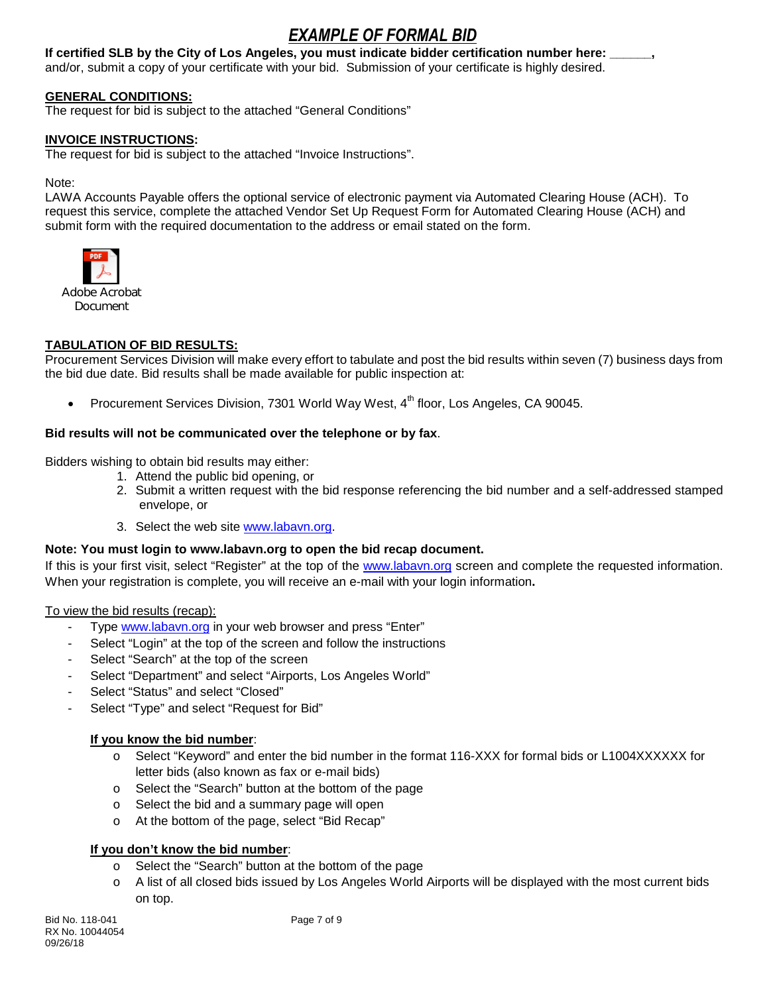**If certified SLB by the City of Los Angeles, you must indicate bidder certification number here: \_\_\_\_\_\_,** and/or, submit a copy of your certificate with your bid. Submission of your certificate is highly desired.

## **GENERAL CONDITIONS:**

The request for bid is subject to the attached "General Conditions"

#### **INVOICE INSTRUCTIONS:**

The request for bid is subject to the attached "Invoice Instructions".

Note:

LAWA Accounts Payable offers the optional service of electronic payment via Automated Clearing House (ACH). To request this service, complete the attached Vendor Set Up Request Form for Automated Clearing House (ACH) and submit form with the required documentation to the address or email stated on the form.



## **TABULATION OF BID RESULTS:**

Procurement Services Division will make every effort to tabulate and post the bid results within seven (7) business days from the bid due date. Bid results shall be made available for public inspection at:

Procurement Services Division, 7301 World Way West, 4<sup>th</sup> floor, Los Angeles, CA 90045.

#### **Bid results will not be communicated over the telephone or by fax**.

Bidders wishing to obtain bid results may either:

- 1. Attend the public bid opening, or
- 2. Submit a written request with the bid response referencing the bid number and a self-addressed stamped envelope, or
- 3. Select the web site [www.labavn.org.](http://www.labavn.org/)

#### **Note: You must login to www.labavn.org to open the bid recap document.**

If this is your first visit, select "Register" at the top of the [www.labavn.org](http://www.labavn.org/) screen and complete the requested information. When your registration is complete, you will receive an e-mail with your login information**.**

To view the bid results (recap):

- Type [www.labavn.org](http://www.labavn.org/) in your web browser and press "Enter"
- Select "Login" at the top of the screen and follow the instructions
- Select "Search" at the top of the screen
- Select "Department" and select "Airports, Los Angeles World"
- Select "Status" and select "Closed"
- Select "Type" and select "Request for Bid"

## **If you know the bid number**:

- o Select "Keyword" and enter the bid number in the format 116-XXX for formal bids or L1004XXXXXX for letter bids (also known as fax or e-mail bids)
- o Select the "Search" button at the bottom of the page
- o Select the bid and a summary page will open
- o At the bottom of the page, select "Bid Recap"

#### **If you don't know the bid number**:

- o Select the "Search" button at the bottom of the page
- o A list of all closed bids issued by Los Angeles World Airports will be displayed with the most current bids on top.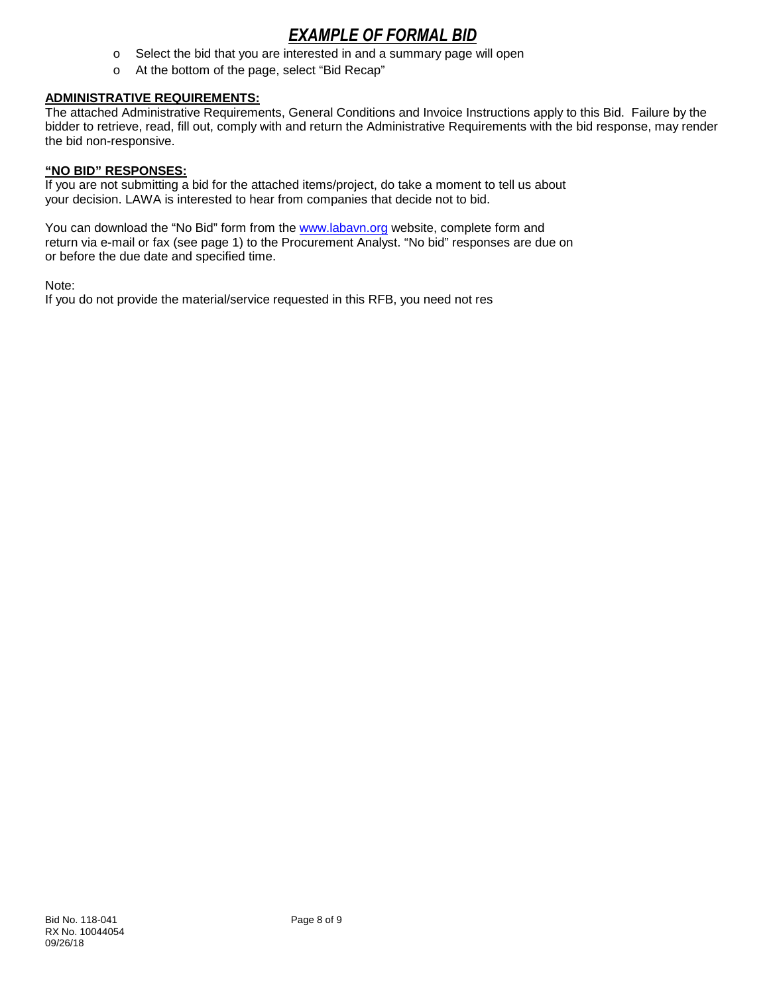- o Select the bid that you are interested in and a summary page will open
- o At the bottom of the page, select "Bid Recap"

#### **ADMINISTRATIVE REQUIREMENTS:**

The attached Administrative Requirements, General Conditions and Invoice Instructions apply to this Bid. Failure by the bidder to retrieve, read, fill out, comply with and return the Administrative Requirements with the bid response, may render the bid non-responsive.

#### **"NO BID" RESPONSES:**

If you are not submitting a bid for the attached items/project, do take a moment to tell us about your decision. LAWA is interested to hear from companies that decide not to bid.

You can download the "No Bid" form from the [www.labavn.org](http://www.labavn.org/) website, complete form and return via e-mail or fax (see page 1) to the Procurement Analyst. "No bid" responses are due on or before the due date and specified time.

Note:

If you do not provide the material/service requested in this RFB, you need not res